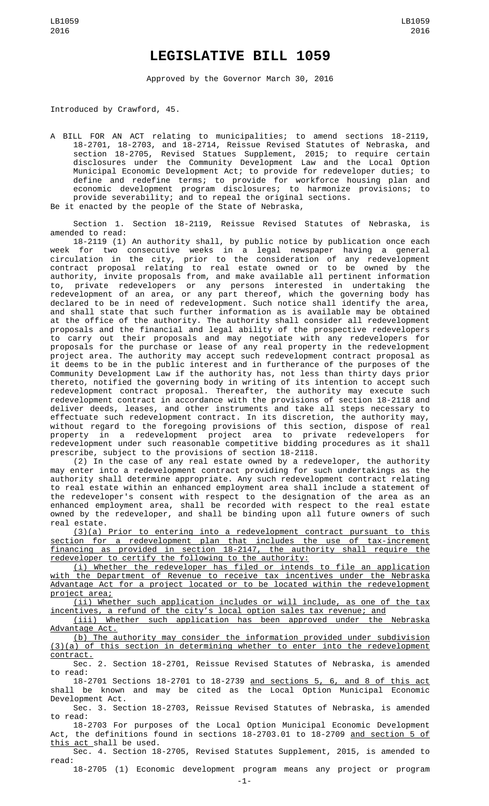## **LEGISLATIVE BILL 1059**

Approved by the Governor March 30, 2016

Introduced by Crawford, 45.

A BILL FOR AN ACT relating to municipalities; to amend sections 18-2119, 18-2701, 18-2703, and 18-2714, Reissue Revised Statutes of Nebraska, and section 18-2705, Revised Statues Supplement, 2015; to require certain disclosures under the Community Development Law and the Local Option Municipal Economic Development Act; to provide for redeveloper duties; to define and redefine terms; to provide for workforce housing plan and economic development program disclosures; to harmonize provisions; to provide severability; and to repeal the original sections. Be it enacted by the people of the State of Nebraska,

Section 1. Section 18-2119, Reissue Revised Statutes of Nebraska, is amended to read:

18-2119 (1) An authority shall, by public notice by publication once each week for two consecutive weeks in a legal newspaper having a general circulation in the city, prior to the consideration of any redevelopment contract proposal relating to real estate owned or to be owned by the authority, invite proposals from, and make available all pertinent information to, private redevelopers or any persons interested in undertaking the redevelopment of an area, or any part thereof, which the governing body has declared to be in need of redevelopment. Such notice shall identify the area, and shall state that such further information as is available may be obtained at the office of the authority. The authority shall consider all redevelopment proposals and the financial and legal ability of the prospective redevelopers to carry out their proposals and may negotiate with any redevelopers for proposals for the purchase or lease of any real property in the redevelopment project area. The authority may accept such redevelopment contract proposal as it deems to be in the public interest and in furtherance of the purposes of the Community Development Law if the authority has, not less than thirty days prior thereto, notified the governing body in writing of its intention to accept such redevelopment contract proposal. Thereafter, the authority may execute such redevelopment contract in accordance with the provisions of section 18-2118 and deliver deeds, leases, and other instruments and take all steps necessary to effectuate such redevelopment contract. In its discretion, the authority may, without regard to the foregoing provisions of this section, dispose of real property in a redevelopment project area to private redevelopers for redevelopment under such reasonable competitive bidding procedures as it shall prescribe, subject to the provisions of section 18-2118.

(2) In the case of any real estate owned by a redeveloper, the authority enter into a redevelopment contract providing for such undertakings as the authority shall determine appropriate. Any such redevelopment contract relating to real estate within an enhanced employment area shall include a statement of the redeveloper's consent with respect to the designation of the area as an enhanced employment area, shall be recorded with respect to the real estate owned by the redeveloper, and shall be binding upon all future owners of such real estate.

(3)(a) Prior to entering into a redevelopment contract pursuant to this section for a redevelopment plan that includes the use of tax-increment financing as provided in section 18-2147, the authority shall require the redeveloper to certify the following to the authority:

(i) Whether the redeveloper has filed or intends to file an application with the Department of Revenue to receive tax incentives under the Nebraska Advantage Act for a project located or to be located within the redevelopment project area;

(ii) Whether such application includes or will include, as one of the tax incentives, a refund of the city's local option sales tax revenue; and

(iii) Whether such application has been approved under the Nebraska Advantage Act.

(b) The authority may consider the information provided under subdivision (3)(a) of this section in determining whether to enter into the redevelopment contract.

Sec. 2. Section 18-2701, Reissue Revised Statutes of Nebraska, is amended to read:

18-2701 Sections 18-2701 to 18-2739 and sections 5, 6, and 8 of this act shall be known and may be cited as the Local Option Municipal Economic Development Act.

Sec. 3. Section 18-2703, Reissue Revised Statutes of Nebraska, is amended to read:

18-2703 For purposes of the Local Option Municipal Economic Development Act, the definitions found in sections 18-2703.01 to 18-2709 and section 5 of this act shall be used.

Sec. 4. Section 18-2705, Revised Statutes Supplement, 2015, is amended to read:

18-2705 (1) Economic development program means any project or program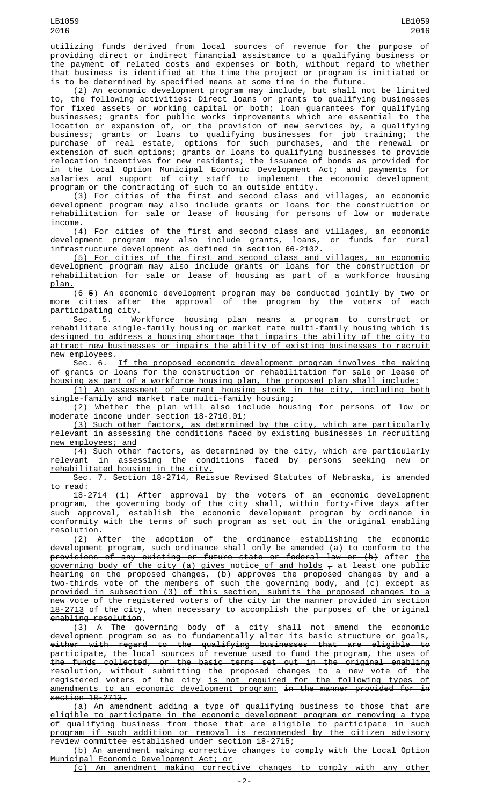utilizing funds derived from local sources of revenue for the purpose of providing direct or indirect financial assistance to a qualifying business or the payment of related costs and expenses or both, without regard to whether that business is identified at the time the project or program is initiated or is to be determined by specified means at some time in the future.

(2) An economic development program may include, but shall not be limited to, the following activities: Direct loans or grants to qualifying businesses for fixed assets or working capital or both; loan guarantees for qualifying businesses; grants for public works improvements which are essential to the location or expansion of, or the provision of new services by, a qualifying business; grants or loans to qualifying businesses for job training; the purchase of real estate, options for such purchases, and the renewal or extension of such options; grants or loans to qualifying businesses to provide relocation incentives for new residents; the issuance of bonds as provided for in the Local Option Municipal Economic Development Act; and payments for salaries and support of city staff to implement the economic development program or the contracting of such to an outside entity. program or the contracting of such to an outside entity.<br>(3) For cities of the first and second class and villages, an economic

development program may also include grants or loans for the construction or rehabilitation for sale or lease of housing for persons of low or moderate income.

(4) For cities of the first and second class and villages, an economic development program may also include grants, loans, or funds for rural development program may also include grants, loans,<br>infrastructure development as defined in section 66-2102.

(5) For cities of the first and second class and villages, an economic development program may also include grants or loans for the construction or rehabilitation for sale or lease of housing as part of a workforce housing plan.

 $(6 5)$  An economic development program may be conducted jointly by two or more cities after the approval of the program by the voters of each participating city.

Sec. 5. Workforce housing plan means a program to construct or rehabilitate single-family housing or market rate multi-family housing which is designed to address a housing shortage that impairs the ability of the city to attract new businesses or impairs the ability of existing businesses to recruit new employees.

Sec. 6. If the proposed economic development program involves the making of grants or loans for the construction or rehabilitation for sale or lease of housing as part of a workforce housing plan, the proposed plan shall include:

(1) An assessment of current housing stock in the city, including both single-family and market rate multi-family housing;

(2) Whether the plan will also include housing for persons of low or moderate income under section 18-2710.01;

(3) Such other factors, as determined by the city, which are particularly relevant in assessing the conditions faced by existing businesses in recruiting new employees; and

(4) Such other factors, as determined by the city, which are particularly relevant in assessing the conditions faced by persons seeking new or rehabilitated housing in the city.

Sec. 7. Section 18-2714, Reissue Revised Statutes of Nebraska, is amended to read:

18-2714 (1) After approval by the voters of an economic development program, the governing body of the city shall, within forty-five days after such approval, establish the economic development program by ordinance in conformity with the terms of such program as set out in the original enabling resolution.

(2) After the adoption of the ordinance establishing the economic development program, such ordinance shall only be amended <del>(a) to conform to the</del> provisions of any existing or future state or federal law or (b) after <u>the</u> <u>governing body of the city (a) gives notice of and holds  $_\mathcal{T}$ </u> at least one public hearin<u>g on the proposed changes</u>, <u>(b) approves the proposed changes by</u> <del>and</del> a two-thirds vote of the members of <u>such</u> <del>the</del> governing body<u>, and (c) except as</u> provided in subsection (3) of this section, submits the proposed changes to a new vote of the registered voters of the city in the manner provided in section 18-2713 of the city, when necessary to accomplish the purposes of the original enabling resolution.

(3) A The governing body of a city shall not amend the economic development program so as to fundamentally alter its basic structure or goals, either with regard to the qualifying businesses that are eligible to participate, the local sources of revenue used to fund the program, the uses of the funds collected, or the basic terms set out in the original enabling resolution, without submitting the proposed changes to a new vote of the registered voters of the city <u>is not required for the following types of</u> amendments to an economic development program: in the manner provided for in section 18-2713.

(a) An amendment adding a type of qualifying business to those that are eligible to participate in the economic development program or removing a type of qualifying business from those that are eligible to participate in such program if such addition or removal is recommended by the citizen advisory review committee established under section 18-2715;

(b) An amendment making corrective changes to comply with the Local Option Municipal Economic Development Act; or

(c) An amendment making corrective changes to comply with any other